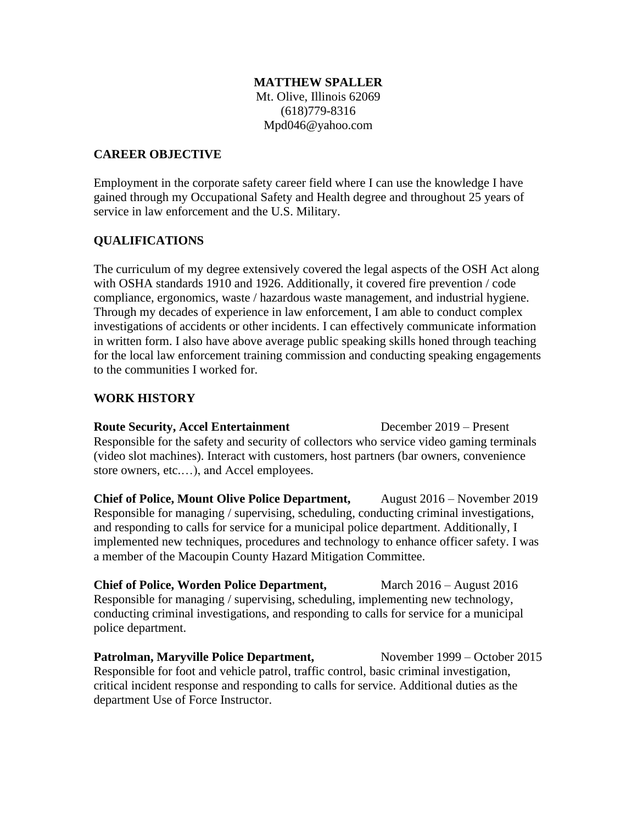#### **MATTHEW SPALLER**

Mt. Olive, Illinois 62069 (618)779-8316 Mpd046@yahoo.com

#### **CAREER OBJECTIVE**

Employment in the corporate safety career field where I can use the knowledge I have gained through my Occupational Safety and Health degree and throughout 25 years of service in law enforcement and the U.S. Military.

## **QUALIFICATIONS**

The curriculum of my degree extensively covered the legal aspects of the OSH Act along with OSHA standards 1910 and 1926. Additionally, it covered fire prevention / code compliance, ergonomics, waste / hazardous waste management, and industrial hygiene. Through my decades of experience in law enforcement, I am able to conduct complex investigations of accidents or other incidents. I can effectively communicate information in written form. I also have above average public speaking skills honed through teaching for the local law enforcement training commission and conducting speaking engagements to the communities I worked for.

## **WORK HISTORY**

**Route Security, Accel Entertainment** December 2019 – Present Responsible for the safety and security of collectors who service video gaming terminals (video slot machines). Interact with customers, host partners (bar owners, convenience store owners, etc.…), and Accel employees.

**Chief of Police, Mount Olive Police Department,** August 2016 – November 2019 Responsible for managing / supervising, scheduling, conducting criminal investigations, and responding to calls for service for a municipal police department. Additionally, I implemented new techniques, procedures and technology to enhance officer safety. I was a member of the Macoupin County Hazard Mitigation Committee.

**Chief of Police, Worden Police Department,** March 2016 – August 2016 Responsible for managing / supervising, scheduling, implementing new technology, conducting criminal investigations, and responding to calls for service for a municipal police department.

**Patrolman, Maryville Police Department,** November 1999 – October 2015 Responsible for foot and vehicle patrol, traffic control, basic criminal investigation, critical incident response and responding to calls for service. Additional duties as the department Use of Force Instructor.